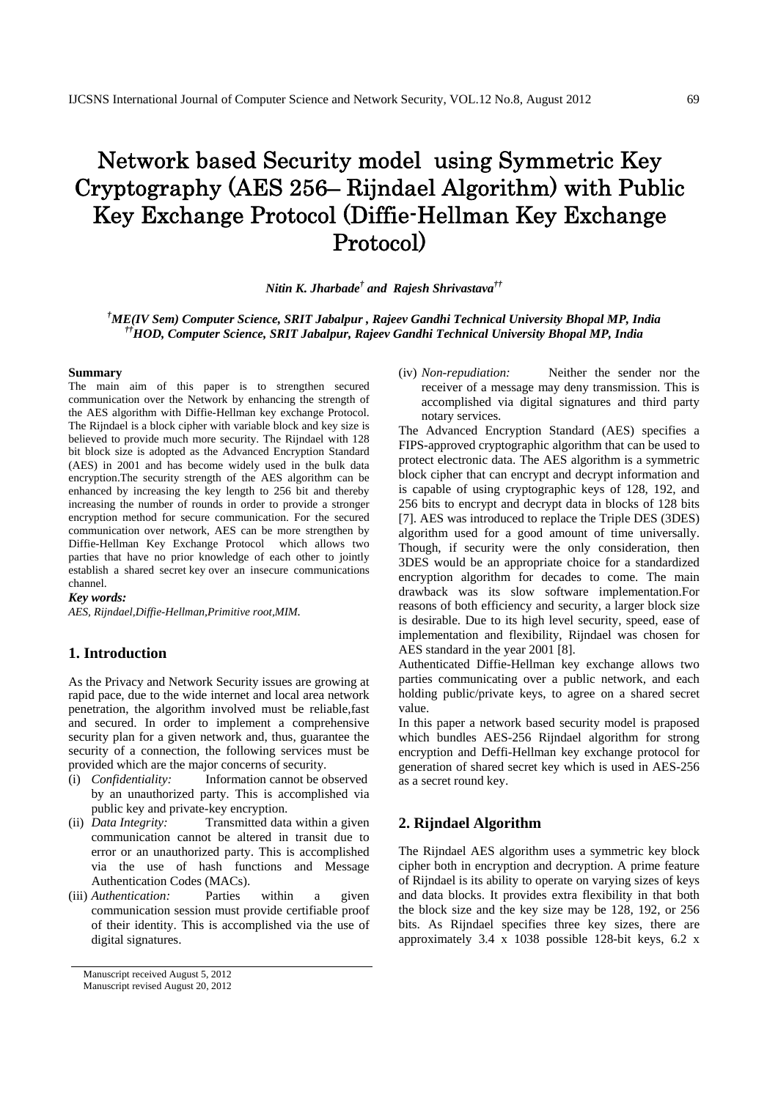# Network based Security model using Symmetric Key Cryptography (AES 256– Rijndael Algorithm) with Public Key Exchange Protocol (Diffie-Hellman Key Exchange Protocol)

*Nitin K. Jharbade† and Rajesh Shrivastava††*

 *† ME(IV Sem) Computer Science, SRIT Jabalpur , Rajeev Gandhi Technical University Bhopal MP, India ††HOD, Computer Science, SRIT Jabalpur, Rajeev Gandhi Technical University Bhopal MP, India* 

#### **Summary**

The main aim of this paper is to strengthen secured communication over the Network by enhancing the strength of the AES algorithm with Diffie-Hellman key exchange Protocol. The Rijndael is a block cipher with variable block and key size is believed to provide much more security. The Rijndael with 128 bit block size is adopted as the Advanced Encryption Standard (AES) in 2001 and has become widely used in the bulk data encryption.The security strength of the AES algorithm can be enhanced by increasing the key length to 256 bit and thereby increasing the number of rounds in order to provide a stronger encryption method for secure communication. For the secured communication over network, AES can be more strengthen by Diffie-Hellman Key Exchange Protocol which allows two parties that have no prior knowledge of each other to jointly establish a shared secret key over an insecure communications channel.

## *Key words:*

*AES, Rijndael,Diffie-Hellman,Primitive root,MIM.*

## **1. Introduction**

As the Privacy and Network Security issues are growing at rapid pace, due to the wide internet and local area network penetration, the algorithm involved must be reliable,fast and secured. In order to implement a comprehensive security plan for a given network and, thus, guarantee the security of a connection, the following services must be provided which are the major concerns of security.

- (i) *Confidentiality:* Information cannot be observed by an unauthorized party. This is accomplished via public key and private-key encryption.
- (ii) *Data Integrity:* Transmitted data within a given communication cannot be altered in transit due to error or an unauthorized party. This is accomplished via the use of hash functions and Message Authentication Codes (MACs).
- (iii) *Authentication:* Parties within a given communication session must provide certifiable proof of their identity. This is accomplished via the use of digital signatures.

(iv) *Non-repudiation:* Neither the sender nor the receiver of a message may deny transmission. This is accomplished via digital signatures and third party notary services.

The Advanced Encryption Standard (AES) specifies a FIPS-approved cryptographic algorithm that can be used to protect electronic data. The AES algorithm is a symmetric block cipher that can encrypt and decrypt information and is capable of using cryptographic keys of 128, 192, and 256 bits to encrypt and decrypt data in blocks of 128 bits [7]. AES was introduced to replace the Triple DES (3DES) algorithm used for a good amount of time universally. Though, if security were the only consideration, then 3DES would be an appropriate choice for a standardized encryption algorithm for decades to come. The main drawback was its slow software implementation.For reasons of both efficiency and security, a larger block size is desirable. Due to its high level security, speed, ease of implementation and flexibility, Rijndael was chosen for AES standard in the year 2001 [8].

Authenticated Diffie-Hellman key exchange allows two parties communicating over a public network, and each holding public/private keys, to agree on a shared secret value.

In this paper a network based security model is praposed which bundles AES-256 Rijndael algorithm for strong encryption and Deffi-Hellman key exchange protocol for generation of shared secret key which is used in AES-256 as a secret round key.

## **2. Rijndael Algorithm**

The Rijndael AES algorithm uses a symmetric key block cipher both in encryption and decryption. A prime feature of Rijndael is its ability to operate on varying sizes of keys and data blocks. It provides extra flexibility in that both the block size and the key size may be 128, 192, or 256 bits. As Rijndael specifies three key sizes, there are approximately 3.4 x 1038 possible 128-bit keys, 6.2 x

Manuscript received August 5, 2012 Manuscript revised August 20, 2012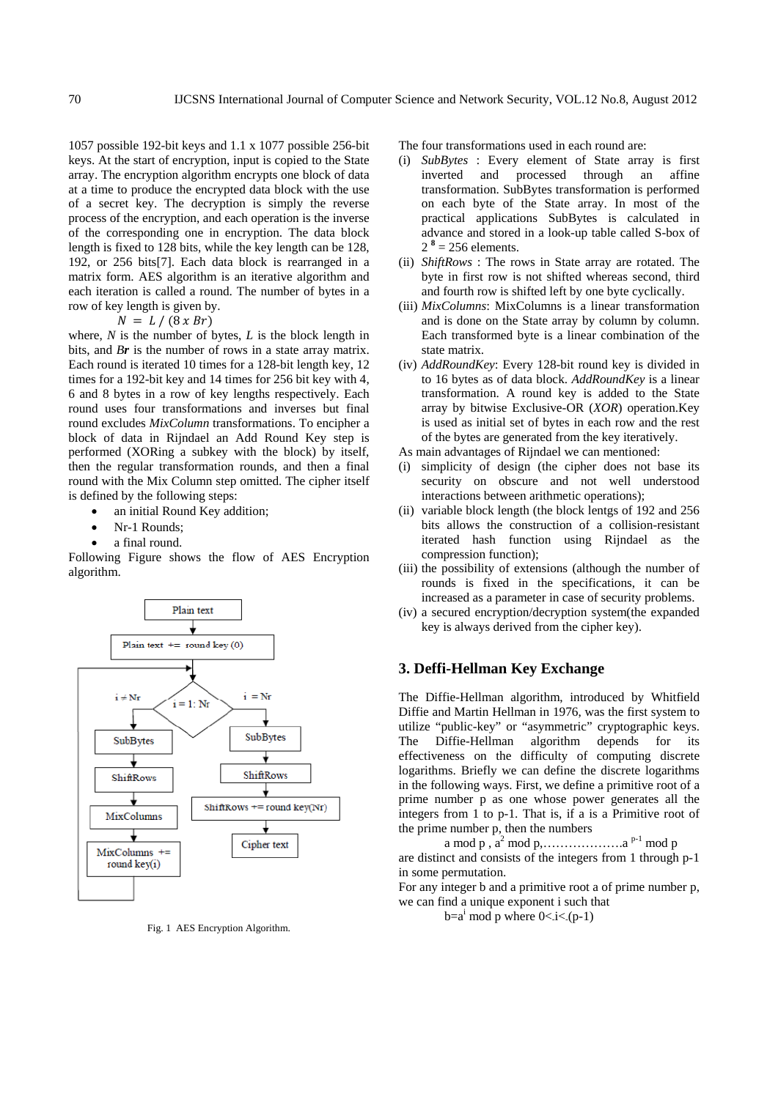1057 possible 192-bit keys and 1.1 x 1077 possible 256-bit keys. At the start of encryption, input is copied to the State array. The encryption algorithm encrypts one block of data at a time to produce the encrypted data block with the use of a secret key. The decryption is simply the reverse process of the encryption, and each operation is the inverse of the corresponding one in encryption. The data block length is fixed to 128 bits, while the key length can be 128, 192, or 256 bits[7]. Each data block is rearranged in a matrix form. AES algorithm is an iterative algorithm and each iteration is called a round. The number of bytes in a row of key length is given by.

$$
N = L / (8 x Br)
$$

where, *N* is the number of bytes, *L* is the block length in bits, and *Br* is the number of rows in a state array matrix. Each round is iterated 10 times for a 128-bit length key, 12 times for a 192-bit key and 14 times for 256 bit key with 4, 6 and 8 bytes in a row of key lengths respectively. Each round uses four transformations and inverses but final round excludes *MixColumn* transformations. To encipher a block of data in Rijndael an Add Round Key step is performed (XORing a subkey with the block) by itself, then the regular transformation rounds, and then a final round with the Mix Column step omitted. The cipher itself is defined by the following steps:

- an initial Round Key addition;
- Nr-1 Rounds;
- a final round.

Following Figure shows the flow of AES Encryption algorithm.



Fig. 1 AES Encryption Algorithm.

The four transformations used in each round are:

- (i) *SubBytes* : Every element of State array is first inverted and processed through an affine transformation. SubBytes transformation is performed on each byte of the State array. In most of the practical applications SubBytes is calculated in advance and stored in a look-up table called S-box of  $2^8$  = 256 elements.
- (ii) *ShiftRows* : The rows in State array are rotated. The byte in first row is not shifted whereas second, third and fourth row is shifted left by one byte cyclically.
- (iii) *MixColumns*: MixColumns is a linear transformation and is done on the State array by column by column. Each transformed byte is a linear combination of the state matrix.
- (iv) *AddRoundKey*: Every 128-bit round key is divided in to 16 bytes as of data block. *AddRoundKey* is a linear transformation. A round key is added to the State array by bitwise Exclusive-OR (*XOR*) operation.Key is used as initial set of bytes in each row and the rest of the bytes are generated from the key iteratively.
- As main advantages of Rijndael we can mentioned:
- (i) simplicity of design (the cipher does not base its security on obscure and not well understood interactions between arithmetic operations);
- (ii) variable block length (the block lentgs of 192 and 256 bits allows the construction of a collision-resistant iterated hash function using Rijndael as the compression function);
- (iii) the possibility of extensions (although the number of rounds is fixed in the specifications, it can be increased as a parameter in case of security problems.
- (iv) a secured encryption/decryption system(the expanded key is always derived from the cipher key).

## **3. Deffi-Hellman Key Exchange**

The Diffie-Hellman algorithm, introduced by Whitfield Diffie and Martin Hellman in 1976, was the first system to utilize "public-key" or "asymmetric" cryptographic keys. The Diffie-Hellman algorithm depends for its effectiveness on the difficulty of computing discrete logarithms. Briefly we can define the discrete logarithms in the following ways. First, we define a primitive root of a prime number p as one whose power generates all the integers from 1 to p-1. That is, if a is a Primitive root of the prime number p, then the numbers

a mod p , a2 mod p,……………….a p-1 mod p are distinct and consists of the integers from 1 through p-1 in some permutation.

For any integer b and a primitive root a of prime number p, we can find a unique exponent i such that

 $b=a^i \mod p$  where  $0 < i < (p-1)$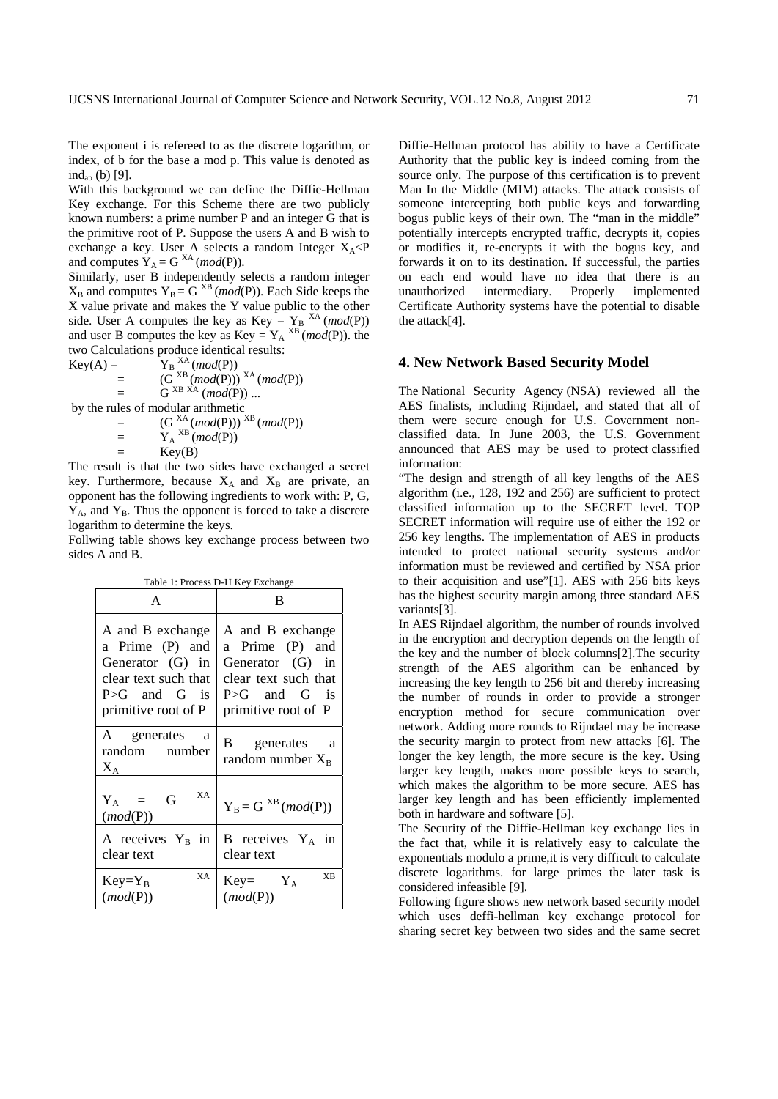The exponent i is refereed to as the discrete logarithm, or index, of b for the base a mod p. This value is denoted as  $ind_{\text{ap}}(b)$  [9].

With this background we can define the Diffie-Hellman Key exchange. For this Scheme there are two publicly known numbers: a prime number P and an integer G that is the primitive root of P. Suppose the users A and B wish to exchange a key. User A selects a random Integer  $X_A < P$ and computes  $Y_A = G^{XA} (mod(P)).$ 

Similarly, user B independently selects a random integer  $X_B$  and computes  $Y_B = G^{XB}$  (*mod*(P)). Each Side keeps the X value private and makes the Y value public to the other side. User A computes the key as Key =  $Y_B$ <sup>XA</sup> (*mod*(P)) and user B computes the key as Key =  $Y_A$ <sup>XB</sup> (*mod*(P)). the two Calculations produce identical results:

Key(A) = 
$$
Y_B^{XA} \pmod{P}
$$
  
\n= 
$$
(G^{XB} \pmod{P})^{XA} \pmod{P}
$$
  
\n= 
$$
G^{XB \text{XA}} \pmod{P}
$$
...

by the rules of modular arithmetic

$$
= (G^{XA}_{\nu} \pmod{P)})^{XB} (mod(P))
$$

$$
= Y_A^{XB} (mod(P))
$$

 $=$  Key(B)

The result is that the two sides have exchanged a secret key. Furthermore, because  $X_A$  and  $X_B$  are private, an opponent has the following ingredients to work with: P, G,  $Y_A$ , and  $Y_B$ . Thus the opponent is forced to take a discrete logarithm to determine the keys.

Follwing table shows key exchange process between two sides A and B.

Table 1: Process D-H Key Exchange

| A                                              | R                                    |
|------------------------------------------------|--------------------------------------|
| A and B exchange                               | A and B exchange                     |
| a Prime (P) and                                | a Prime (P) and                      |
| Generator (G) in                               | Generator (G) in                     |
| clear text such that                           | clear text such that                 |
| $P > G$ and $G$ is                             | $P > G$ and $G$ is                   |
| primitive root of P                            | primitive root of P                  |
| A generates<br>a<br>random number<br>$\rm X_A$ | B generates a<br>random number $X_B$ |
| XA<br>$Y_A = G$<br>(mod(P))                    | $Y_B = G^{XB} (mod(P))$              |
| A receives $Y_B$ in                            | B receives $Y_A$ in                  |
| clear text                                     | clear text                           |
| XA                                             | <b>XB</b>                            |
| $Key=Y_B$                                      | $Key= Y_A$                           |
| (mod(P))                                       | (mod(P))                             |

Diffie-Hellman protocol has ability to have a Certificate Authority that the public key is indeed coming from the source only. The purpose of this certification is to prevent Man In the Middle (MIM) attacks. The attack consists of someone intercepting both public keys and forwarding bogus public keys of their own. The "man in the middle" potentially intercepts encrypted traffic, decrypts it, copies or modifies it, re-encrypts it with the bogus key, and forwards it on to its destination. If successful, the parties on each end would have no idea that there is an unauthorized intermediary. Properly implemented Certificate Authority systems have the potential to disable the attack[4].

## **4. New Network Based Security Model**

The National Security Agency (NSA) reviewed all the AES finalists, including Rijndael, and stated that all of them were secure enough for U.S. Government nonclassified data. In June 2003, the U.S. Government announced that AES may be used to protect classified information:

"The design and strength of all key lengths of the AES algorithm (i.e., 128, 192 and 256) are sufficient to protect classified information up to the SECRET level. TOP SECRET information will require use of either the 192 or 256 key lengths. The implementation of AES in products intended to protect national security systems and/or information must be reviewed and certified by NSA prior to their acquisition and use"[1]. AES with 256 bits keys has the highest security margin among three standard AES variants[3].

In AES Rijndael algorithm, the number of rounds involved in the encryption and decryption depends on the length of the key and the number of block columns[2].The security strength of the AES algorithm can be enhanced by increasing the key length to 256 bit and thereby increasing the number of rounds in order to provide a stronger encryption method for secure communication over network. Adding more rounds to Rijndael may be increase the security margin to protect from new attacks [6]. The longer the key length, the more secure is the key. Using larger key length, makes more possible keys to search, which makes the algorithm to be more secure. AES has larger key length and has been efficiently implemented both in hardware and software [5].

The Security of the Diffie-Hellman key exchange lies in the fact that, while it is relatively easy to calculate the exponentials modulo a prime,it is very difficult to calculate discrete logarithms. for large primes the later task is considered infeasible [9].

Following figure shows new network based security model which uses deffi-hellman key exchange protocol for sharing secret key between two sides and the same secret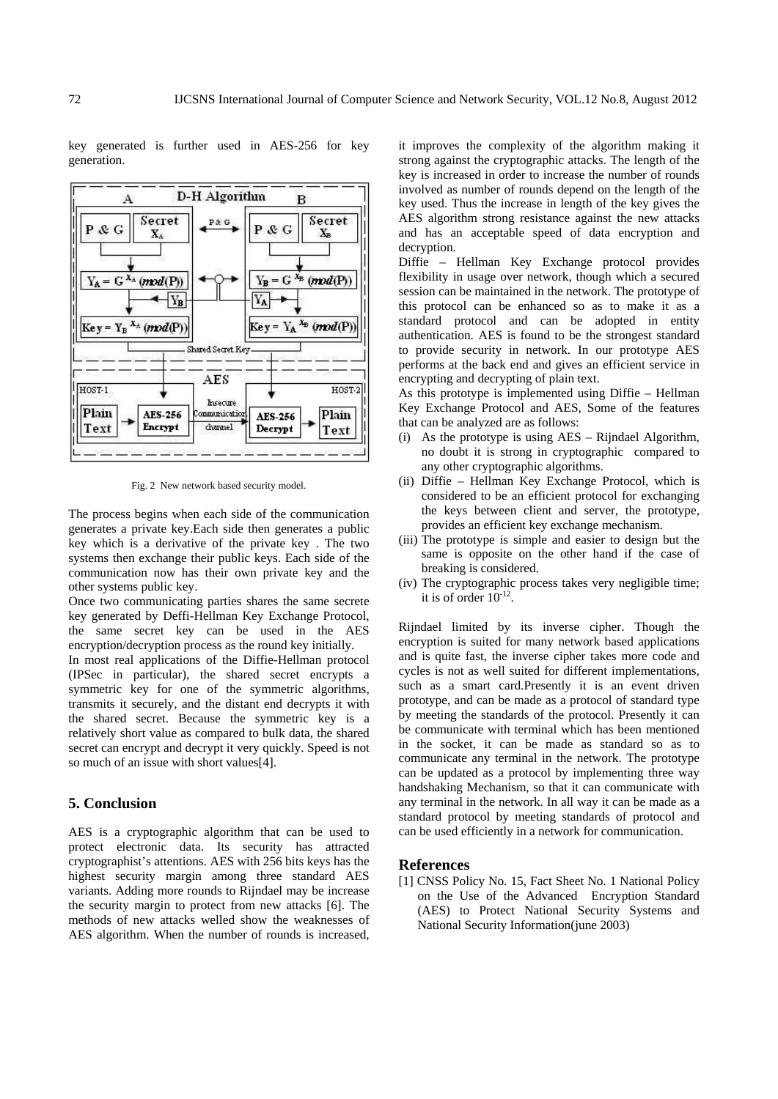key generated is further used in AES-256 for key generation.



Fig. 2 New network based security model.

The process begins when each side of the communication generates a private key.Each side then generates a public key which is a derivative of the private key . The two systems then exchange their public keys. Each side of the communication now has their own private key and the other systems public key.

Once two communicating parties shares the same secrete key generated by Deffi-Hellman Key Exchange Protocol, the same secret key can be used in the AES encryption/decryption process as the round key initially.

In most real applications of the Diffie-Hellman protocol (IPSec in particular), the shared secret encrypts a symmetric key for one of the symmetric algorithms, transmits it securely, and the distant end decrypts it with the shared secret. Because the symmetric key is a relatively short value as compared to bulk data, the shared secret can encrypt and decrypt it very quickly. Speed is not so much of an issue with short values[4].

## **5. Conclusion**

AES is a cryptographic algorithm that can be used to protect electronic data. Its security has attracted cryptographist's attentions. AES with 256 bits keys has the highest security margin among three standard AES variants. Adding more rounds to Rijndael may be increase the security margin to protect from new attacks [6]. The methods of new attacks welled show the weaknesses of AES algorithm. When the number of rounds is increased,

it improves the complexity of the algorithm making it strong against the cryptographic attacks. The length of the key is increased in order to increase the number of rounds involved as number of rounds depend on the length of the key used. Thus the increase in length of the key gives the AES algorithm strong resistance against the new attacks and has an acceptable speed of data encryption and decryption.

Diffie – Hellman Key Exchange protocol provides flexibility in usage over network, though which a secured session can be maintained in the network. The prototype of this protocol can be enhanced so as to make it as a standard protocol and can be adopted in entity authentication. AES is found to be the strongest standard to provide security in network. In our prototype AES performs at the back end and gives an efficient service in encrypting and decrypting of plain text.

As this prototype is implemented using Diffie – Hellman Key Exchange Protocol and AES, Some of the features that can be analyzed are as follows:

- (i) As the prototype is using  $AES Rijndael Algorithm$ , no doubt it is strong in cryptographic compared to any other cryptographic algorithms.
- (ii) Diffie Hellman Key Exchange Protocol, which is considered to be an efficient protocol for exchanging the keys between client and server, the prototype, provides an efficient key exchange mechanism.
- (iii) The prototype is simple and easier to design but the same is opposite on the other hand if the case of breaking is considered.
- (iv) The cryptographic process takes very negligible time; it is of order  $10^{-12}$ .

Rijndael limited by its inverse cipher. Though the encryption is suited for many network based applications and is quite fast, the inverse cipher takes more code and cycles is not as well suited for different implementations, such as a smart card.Presently it is an event driven prototype, and can be made as a protocol of standard type by meeting the standards of the protocol. Presently it can be communicate with terminal which has been mentioned in the socket, it can be made as standard so as to communicate any terminal in the network. The prototype can be updated as a protocol by implementing three way handshaking Mechanism, so that it can communicate with any terminal in the network. In all way it can be made as a standard protocol by meeting standards of protocol and can be used efficiently in a network for communication.

## **References**

[1] CNSS Policy No. 15, Fact Sheet No. 1 National Policy on the Use of the Advanced Encryption Standard (AES) to Protect National Security Systems and National Security Information(june 2003)